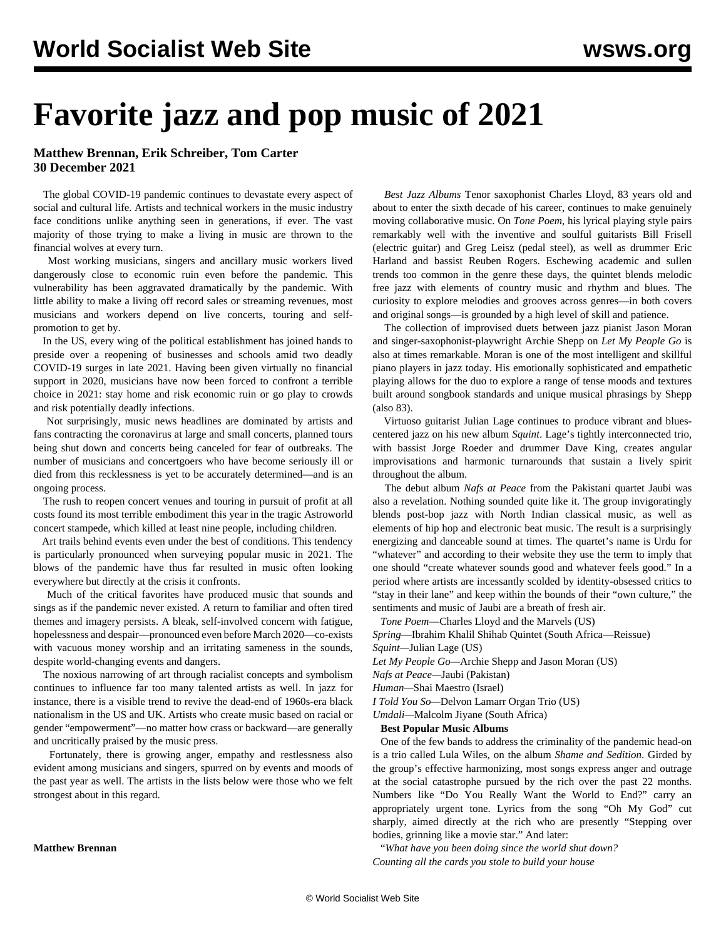# **Favorite jazz and pop music of 2021**

## **Matthew Brennan, Erik Schreiber, Tom Carter 30 December 2021**

 The global COVID-19 pandemic continues to devastate every aspect of social and cultural life. Artists and technical workers in the music industry face conditions unlike anything seen in generations, if ever. The vast majority of those trying to make a living in music are thrown to the financial wolves at every turn.

 Most working musicians, singers and ancillary music workers lived dangerously close to [economic ruin](/en/articles/2021/04/05/arts-a05.html) even before the pandemic. This vulnerability has been aggravated dramatically by the pandemic. With little ability to make a living off record sales or streaming revenues, most musicians and workers depend on live concerts, touring and selfpromotion to get by.

 In the US, every wing of the political establishment has joined hands to preside over a reopening of businesses and schools amid two deadly COVID-19 surges in late 2021. Having been given virtually no financial support in 2020, musicians have now been forced to confront a terrible choice in 2021: stay home and risk economic ruin or go play to crowds and risk potentially deadly infections.

 Not surprisingly, music news headlines are dominated by artists and fans contracting the coronavirus at large and small concerts, planned tours being shut down and concerts being canceled for fear of outbreaks. The number of musicians and concertgoers who have become seriously ill or died from this recklessness is yet to be accurately determined—and is an ongoing process.

 The rush to reopen concert venues and touring in pursuit of profit at all costs found its most terrible embodiment this year in the tragic [Astroworld](/en/articles/2021/11/09/pers-n09.html) [concert stampede](/en/articles/2021/11/09/pers-n09.html), which killed at least nine people, including children.

 Art trails behind events even under the best of conditions. This tendency is particularly pronounced when surveying popular music in 2021. The blows of the pandemic have thus far resulted in music often looking everywhere but directly at the crisis it confronts.

 Much of the critical favorites have produced music that sounds and sings as if the pandemic never existed. A return to familiar and often tired themes and imagery persists. A bleak, self-involved concern with fatigue, hopelessness and despair—pronounced even before March 2020—co-exists with vacuous money worship and an irritating sameness in the sounds, despite world-changing events and dangers.

 The noxious narrowing of art through racialist concepts and symbolism continues to influence far too many talented artists as well. In jazz for instance, there is a visible trend to revive the dead-end of 1960s-era black nationalism in the US and UK. Artists who create music based on racial or gender "empowerment"—no matter how crass or backward—are generally and uncritically praised by the music press.

 Fortunately, there is growing anger, empathy and restlessness also evident among musicians and singers, spurred on by events and moods of the past year as well. The artists in the lists below were those who we felt strongest about in this regard.

## **Matthew Brennan**

 *Best Jazz Albums* Tenor saxophonist Charles Lloyd, 83 years old and about to enter the sixth decade of his career, continues to make genuinely moving collaborative music. On *Tone Poem*, his lyrical playing style pairs remarkably well with the inventive and soulful guitarists Bill Frisell (electric guitar) and Greg Leisz (pedal steel), as well as drummer Eric Harland and bassist Reuben Rogers. Eschewing academic and sullen trends too common in the genre these days, the quintet blends melodic free jazz with elements of country music and rhythm and blues. The curiosity to explore melodies and grooves across genres—in both covers and original songs—is grounded by a high level of skill and patience.

 The collection of improvised duets between jazz pianist Jason Moran and singer-saxophonist-playwright Archie Shepp on *Let My People Go* is also at times remarkable. Moran is one of the most intelligent and skillful piano players in jazz today. His emotionally sophisticated and empathetic playing allows for the duo to explore a range of tense moods and textures built around songbook standards and unique musical phrasings by Shepp (also 83).

 Virtuoso guitarist Julian Lage continues to produce vibrant and bluescentered jazz on his new album *Squint*. Lage's tightly interconnected trio, with bassist Jorge Roeder and drummer Dave King, creates angular improvisations and harmonic turnarounds that sustain a lively spirit throughout the album.

 The debut album *Nafs at Peace* from the Pakistani quartet Jaubi was also a revelation. Nothing sounded quite like it. The group invigoratingly blends post-bop jazz with North Indian classical music, as well as elements of hip hop and electronic beat music. The result is a surprisingly energizing and danceable sound at times. The quartet's name is Urdu for "whatever" and according to their website they use the term to imply that one should "create whatever sounds good and whatever feels good." In a period where artists are incessantly scolded by identity-obsessed critics to "stay in their lane" and keep within the bounds of their "own culture," the sentiments and music of Jaubi are a breath of fresh air.

*Tone Poem*—Charles Lloyd and the Marvels (US)

*[Spring](/en/articles/2021/12/08/shih-d08.html)*—Ibrahim Khalil Shihab Quintet (South Africa—Reissue) *Squint—*Julian Lage (US)

*Let My People Go—*Archie Shepp and Jason Moran (US)

*Nafs at Peace—*Jaubi (Pakistan)

*Human—*Shai Maestro (Israel)

*I Told You So—*Delvon Lamarr Organ Trio (US)

*Umdali—*Malcolm Jiyane (South Africa)

#### **Best Popular Music Albums**

 One of the few bands to address the criminality of the pandemic head-on is a trio called Lula Wiles, on the album *Shame and Sedition*. Girded by the group's effective harmonizing, most songs express anger and outrage at the social catastrophe pursued by the rich over the past 22 months. Numbers like "Do You Really Want the World to End?" carry an appropriately urgent tone. Lyrics from the song "Oh My God" cut sharply, aimed directly at the rich who are presently "Stepping over bodies, grinning like a movie star." And later:

 "*What have you been doing since the world shut down? Counting all the cards you stole to build your house*